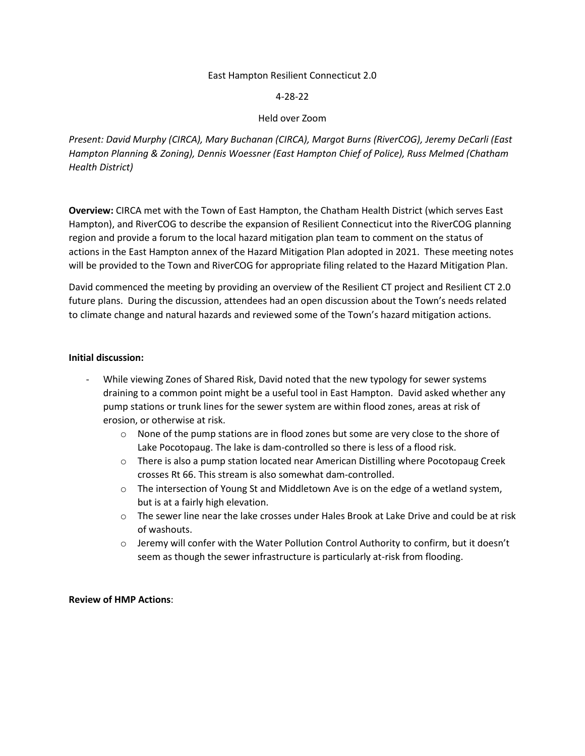### East Hampton Resilient Connecticut 2.0

### 4-28-22

## Held over Zoom

*Present: David Murphy (CIRCA), Mary Buchanan (CIRCA), Margot Burns (RiverCOG), Jeremy DeCarli (East Hampton Planning & Zoning), Dennis Woessner (East Hampton Chief of Police), Russ Melmed (Chatham Health District)*

**Overview:** CIRCA met with the Town of East Hampton, the Chatham Health District (which serves East Hampton), and RiverCOG to describe the expansion of Resilient Connecticut into the RiverCOG planning region and provide a forum to the local hazard mitigation plan team to comment on the status of actions in the East Hampton annex of the Hazard Mitigation Plan adopted in 2021. These meeting notes will be provided to the Town and RiverCOG for appropriate filing related to the Hazard Mitigation Plan.

David commenced the meeting by providing an overview of the Resilient CT project and Resilient CT 2.0 future plans. During the discussion, attendees had an open discussion about the Town's needs related to climate change and natural hazards and reviewed some of the Town's hazard mitigation actions.

#### **Initial discussion:**

- While viewing Zones of Shared Risk, David noted that the new typology for sewer systems draining to a common point might be a useful tool in East Hampton. David asked whether any pump stations or trunk lines for the sewer system are within flood zones, areas at risk of erosion, or otherwise at risk.
	- $\circ$  None of the pump stations are in flood zones but some are very close to the shore of Lake Pocotopaug. The lake is dam-controlled so there is less of a flood risk.
	- o There is also a pump station located near American Distilling where Pocotopaug Creek crosses Rt 66. This stream is also somewhat dam-controlled.
	- $\circ$  The intersection of Young St and Middletown Ave is on the edge of a wetland system, but is at a fairly high elevation.
	- $\circ$  The sewer line near the lake crosses under Hales Brook at Lake Drive and could be at risk of washouts.
	- $\circ$  Jeremy will confer with the Water Pollution Control Authority to confirm, but it doesn't seem as though the sewer infrastructure is particularly at-risk from flooding.

#### **Review of HMP Actions**: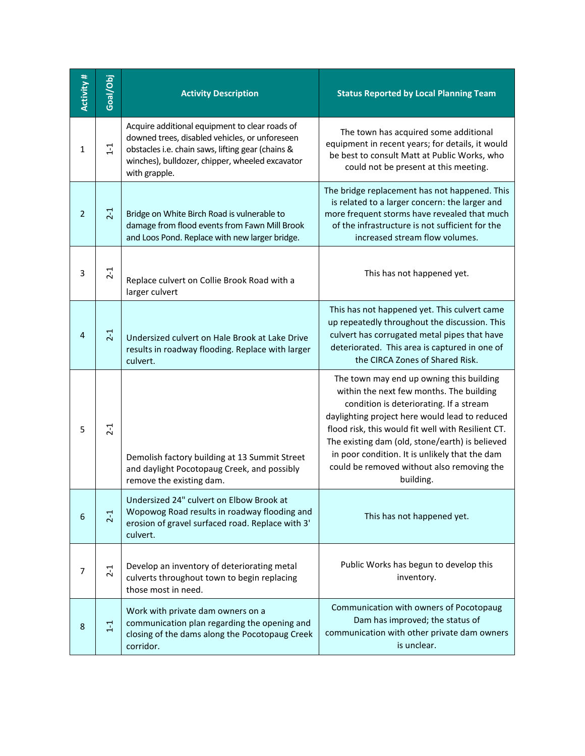| Activity #     | Goal/Obj | <b>Activity Description</b>                                                                                                                                                                                               | <b>Status Reported by Local Planning Team</b>                                                                                                                                                                                                                                                                                                                                                           |
|----------------|----------|---------------------------------------------------------------------------------------------------------------------------------------------------------------------------------------------------------------------------|---------------------------------------------------------------------------------------------------------------------------------------------------------------------------------------------------------------------------------------------------------------------------------------------------------------------------------------------------------------------------------------------------------|
| 1              | $1 - 1$  | Acquire additional equipment to clear roads of<br>downed trees, disabled vehicles, or unforeseen<br>obstacles i.e. chain saws, lifting gear (chains &<br>winches), bulldozer, chipper, wheeled excavator<br>with grapple. | The town has acquired some additional<br>equipment in recent years; for details, it would<br>be best to consult Matt at Public Works, who<br>could not be present at this meeting.                                                                                                                                                                                                                      |
| $\overline{2}$ | $2-1$    | Bridge on White Birch Road is vulnerable to<br>damage from flood events from Fawn Mill Brook<br>and Loos Pond. Replace with new larger bridge.                                                                            | The bridge replacement has not happened. This<br>is related to a larger concern: the larger and<br>more frequent storms have revealed that much<br>of the infrastructure is not sufficient for the<br>increased stream flow volumes.                                                                                                                                                                    |
| 3              | $2 - 1$  | Replace culvert on Collie Brook Road with a<br>larger culvert                                                                                                                                                             | This has not happened yet.                                                                                                                                                                                                                                                                                                                                                                              |
| 4              | $2-1$    | Undersized culvert on Hale Brook at Lake Drive<br>results in roadway flooding. Replace with larger<br>culvert.                                                                                                            | This has not happened yet. This culvert came<br>up repeatedly throughout the discussion. This<br>culvert has corrugated metal pipes that have<br>deteriorated. This area is captured in one of<br>the CIRCA Zones of Shared Risk.                                                                                                                                                                       |
| 5              | $2 - 1$  | Demolish factory building at 13 Summit Street<br>and daylight Pocotopaug Creek, and possibly<br>remove the existing dam.                                                                                                  | The town may end up owning this building<br>within the next few months. The building<br>condition is deteriorating. If a stream<br>daylighting project here would lead to reduced<br>flood risk, this would fit well with Resilient CT.<br>The existing dam (old, stone/earth) is believed<br>in poor condition. It is unlikely that the dam<br>could be removed without also removing the<br>building. |
| 6              | $2 - 1$  | Undersized 24" culvert on Elbow Brook at<br>Wopowog Road results in roadway flooding and<br>erosion of gravel surfaced road. Replace with 3'<br>culvert.                                                                  | This has not happened yet.                                                                                                                                                                                                                                                                                                                                                                              |
| 7              | $2 - 1$  | Develop an inventory of deteriorating metal<br>culverts throughout town to begin replacing<br>those most in need.                                                                                                         | Public Works has begun to develop this<br>inventory.                                                                                                                                                                                                                                                                                                                                                    |
| 8              | $1 - 1$  | Work with private dam owners on a<br>communication plan regarding the opening and<br>closing of the dams along the Pocotopaug Creek<br>corridor.                                                                          | Communication with owners of Pocotopaug<br>Dam has improved; the status of<br>communication with other private dam owners<br>is unclear.                                                                                                                                                                                                                                                                |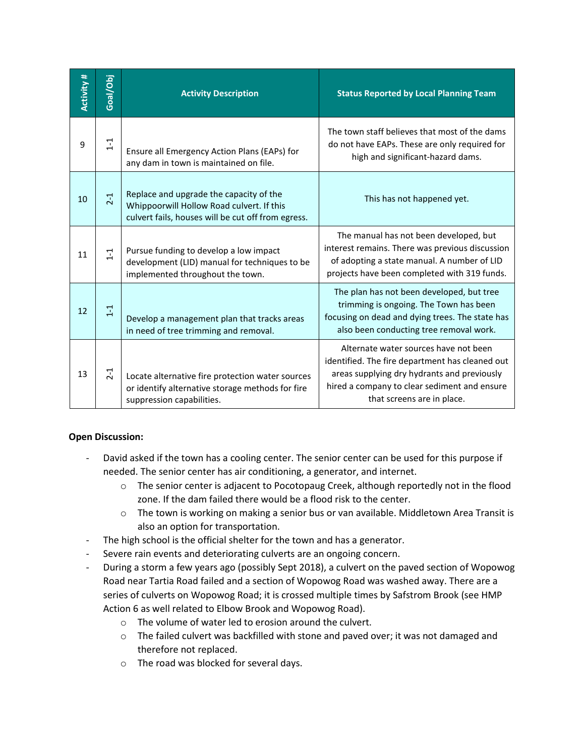| Activity # | Goal/Obj | <b>Activity Description</b>                                                                                                                | <b>Status Reported by Local Planning Team</b>                                                                                                                                                                         |
|------------|----------|--------------------------------------------------------------------------------------------------------------------------------------------|-----------------------------------------------------------------------------------------------------------------------------------------------------------------------------------------------------------------------|
| 9          | $1 - 1$  | Ensure all Emergency Action Plans (EAPs) for<br>any dam in town is maintained on file.                                                     | The town staff believes that most of the dams<br>do not have EAPs. These are only required for<br>high and significant-hazard dams.                                                                                   |
| 10         | $2-1$    | Replace and upgrade the capacity of the<br>Whippoorwill Hollow Road culvert. If this<br>culvert fails, houses will be cut off from egress. | This has not happened yet.                                                                                                                                                                                            |
| 11         | $1 - 1$  | Pursue funding to develop a low impact<br>development (LID) manual for techniques to be<br>implemented throughout the town.                | The manual has not been developed, but<br>interest remains. There was previous discussion<br>of adopting a state manual. A number of LID<br>projects have been completed with 319 funds.                              |
| 12         | $1 - 1$  | Develop a management plan that tracks areas<br>in need of tree trimming and removal.                                                       | The plan has not been developed, but tree<br>trimming is ongoing. The Town has been<br>focusing on dead and dying trees. The state has<br>also been conducting tree removal work.                                     |
| 13         | $2 - 1$  | Locate alternative fire protection water sources<br>or identify alternative storage methods for fire<br>suppression capabilities.          | Alternate water sources have not been<br>identified. The fire department has cleaned out<br>areas supplying dry hydrants and previously<br>hired a company to clear sediment and ensure<br>that screens are in place. |

# **Open Discussion:**

- David asked if the town has a cooling center. The senior center can be used for this purpose if needed. The senior center has air conditioning, a generator, and internet.
	- o The senior center is adjacent to Pocotopaug Creek, although reportedly not in the flood zone. If the dam failed there would be a flood risk to the center.
	- o The town is working on making a senior bus or van available. Middletown Area Transit is also an option for transportation.
- The high school is the official shelter for the town and has a generator.
- Severe rain events and deteriorating culverts are an ongoing concern.
- During a storm a few years ago (possibly Sept 2018), a culvert on the paved section of Wopowog Road near Tartia Road failed and a section of Wopowog Road was washed away. There are a series of culverts on Wopowog Road; it is crossed multiple times by Safstrom Brook (see HMP Action 6 as well related to Elbow Brook and Wopowog Road).
	- o The volume of water led to erosion around the culvert.
	- o The failed culvert was backfilled with stone and paved over; it was not damaged and therefore not replaced.
	- o The road was blocked for several days.